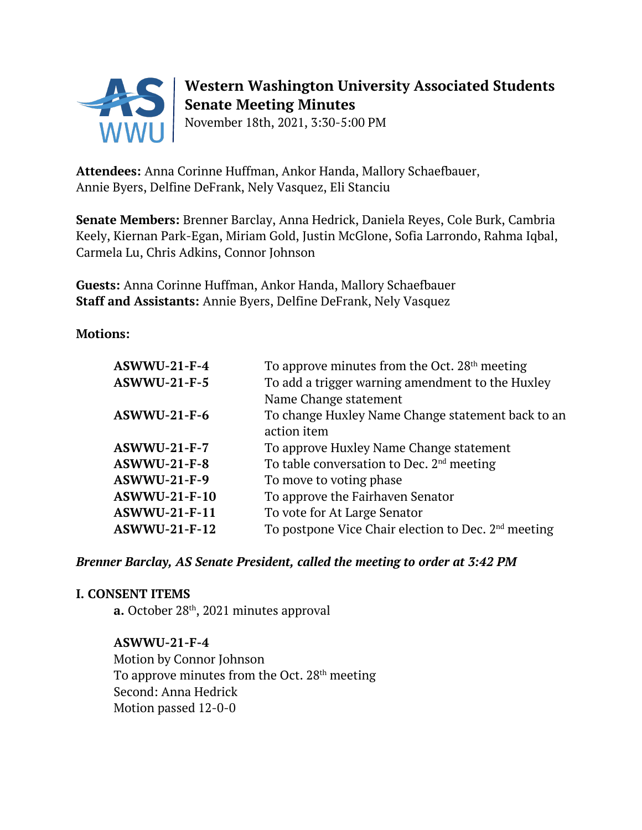

# **Western Washington University Associated Students Senate Meeting Minutes**

November 18th, 2021, 3:30-5:00 PM

**Attendees:** Anna Corinne Huffman, Ankor Handa, Mallory Schaefbauer, Annie Byers, Delfine DeFrank, Nely Vasquez, Eli Stanciu

**Senate Members:** Brenner Barclay, Anna Hedrick, Daniela Reyes, Cole Burk, Cambria Keely, Kiernan Park-Egan, Miriam Gold, Justin McGlone, Sofia Larrondo, Rahma Iqbal, Carmela Lu, Chris Adkins, Connor Johnson

**Guests:** Anna Corinne Huffman, Ankor Handa, Mallory Schaefbauer **Staff and Assistants:** Annie Byers, Delfine DeFrank, Nely Vasquez

**Motions:**

| $ASWWU-21-F-4$       | To approve minutes from the Oct. $28th$ meeting                 |
|----------------------|-----------------------------------------------------------------|
| <b>ASWWU-21-F-5</b>  | To add a trigger warning amendment to the Huxley                |
|                      | Name Change statement                                           |
| $ASWWU-21-F-6$       | To change Huxley Name Change statement back to an               |
|                      | action item                                                     |
| <b>ASWWU-21-F-7</b>  | To approve Huxley Name Change statement                         |
| $ASWWU-21-F-8$       | To table conversation to Dec. 2 <sup>nd</sup> meeting           |
| <b>ASWWU-21-F-9</b>  | To move to voting phase                                         |
| <b>ASWWU-21-F-10</b> | To approve the Fairhaven Senator                                |
| <b>ASWWU-21-F-11</b> | To vote for At Large Senator                                    |
| <b>ASWWU-21-F-12</b> | To postpone Vice Chair election to Dec. 2 <sup>nd</sup> meeting |

#### *Brenner Barclay, AS Senate President, called the meeting to order at 3:42 PM*

#### **I. CONSENT ITEMS**

**a.** October 28<sup>th</sup>, 2021 minutes approval

#### **ASWWU-21-F-4**

Motion by Connor Johnson To approve minutes from the Oct. 28<sup>th</sup> meeting Second: Anna Hedrick Motion passed 12-0-0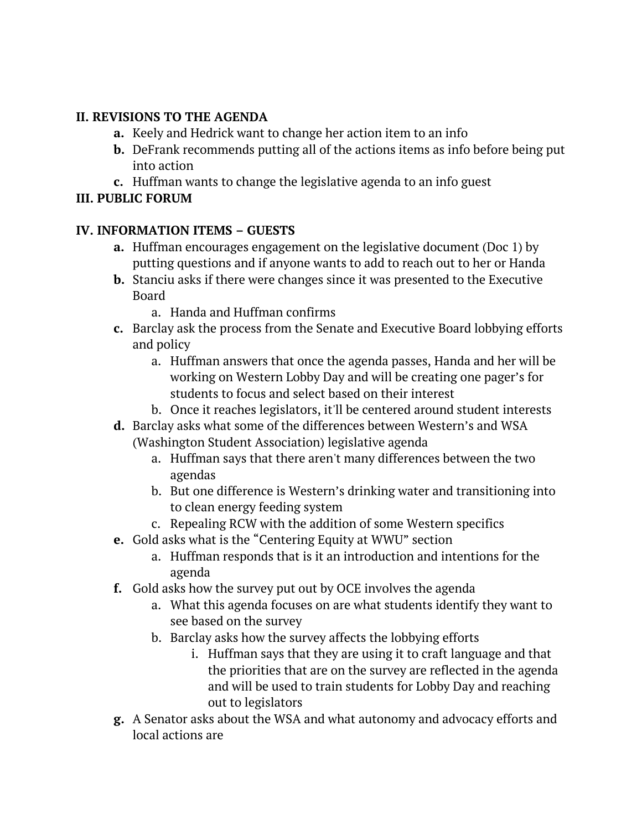### **II. REVISIONS TO THE AGENDA**

- **a.** Keely and Hedrick want to change her action item to an info
- **b.** DeFrank recommends putting all of the actions items as info before being put into action
- **c.** Huffman wants to change the legislative agenda to an info guest

# **III. PUBLIC FORUM**

## **IV. INFORMATION ITEMS – GUESTS**

- **a.** Huffman encourages engagement on the legislative document (Doc 1) by putting questions and if anyone wants to add to reach out to her or Handa
- **b.** Stanciu asks if there were changes since it was presented to the Executive Board
	- a. Handa and Huffman confirms
- **c.** Barclay ask the process from the Senate and Executive Board lobbying efforts and policy
	- a. Huffman answers that once the agenda passes, Handa and her will be working on Western Lobby Day and will be creating one pager's for students to focus and select based on their interest
	- b. Once it reaches legislators, it'll be centered around student interests
- **d.** Barclay asks what some of the differences between Western's and WSA (Washington Student Association) legislative agenda
	- a. Huffman says that there aren't many differences between the two agendas
	- b. But one difference is Western's drinking water and transitioning into to clean energy feeding system
	- c. Repealing RCW with the addition of some Western specifics
- **e.** Gold asks what is the "Centering Equity at WWU" section
	- a. Huffman responds that is it an introduction and intentions for the agenda
- **f.** Gold asks how the survey put out by OCE involves the agenda
	- a. What this agenda focuses on are what students identify they want to see based on the survey
	- b. Barclay asks how the survey affects the lobbying efforts
		- i. Huffman says that they are using it to craft language and that the priorities that are on the survey are reflected in the agenda and will be used to train students for Lobby Day and reaching out to legislators
- **g.** A Senator asks about the WSA and what autonomy and advocacy efforts and local actions are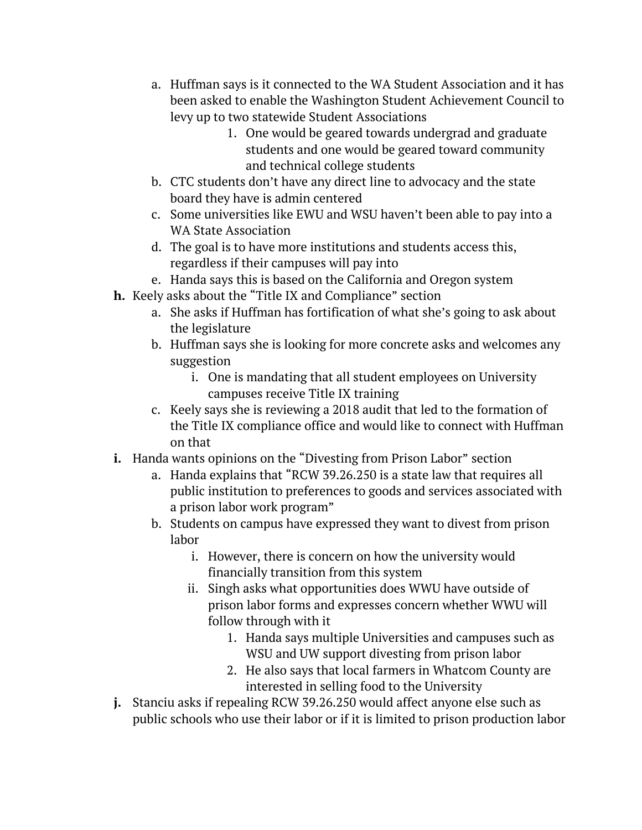- a. Huffman says is it connected to the WA Student Association and it has been asked to enable the Washington Student Achievement Council to levy up to two statewide Student Associations
	- 1. One would be geared towards undergrad and graduate students and one would be geared toward community and technical college students
- b. CTC students don't have any direct line to advocacy and the state board they have is admin centered
- c. Some universities like EWU and WSU haven't been able to pay into a WA State Association
- d. The goal is to have more institutions and students access this, regardless if their campuses will pay into
- e. Handa says this is based on the California and Oregon system
- **h.** Keely asks about the "Title IX and Compliance" section
	- a. She asks if Huffman has fortification of what she's going to ask about the legislature
	- b. Huffman says she is looking for more concrete asks and welcomes any suggestion
		- i. One is mandating that all student employees on University campuses receive Title IX training
	- c. Keely says she is reviewing a 2018 audit that led to the formation of the Title IX compliance office and would like to connect with Huffman on that
- **i.** Handa wants opinions on the "Divesting from Prison Labor" section
	- a. Handa explains that "RCW 39.26.250 is a state law that requires all public institution to preferences to goods and services associated with a prison labor work program"
	- b. Students on campus have expressed they want to divest from prison labor
		- i. However, there is concern on how the university would financially transition from this system
		- ii. Singh asks what opportunities does WWU have outside of prison labor forms and expresses concern whether WWU will follow through with it
			- 1. Handa says multiple Universities and campuses such as WSU and UW support divesting from prison labor
			- 2. He also says that local farmers in Whatcom County are interested in selling food to the University
- **j.** Stanciu asks if repealing RCW 39.26.250 would affect anyone else such as public schools who use their labor or if it is limited to prison production labor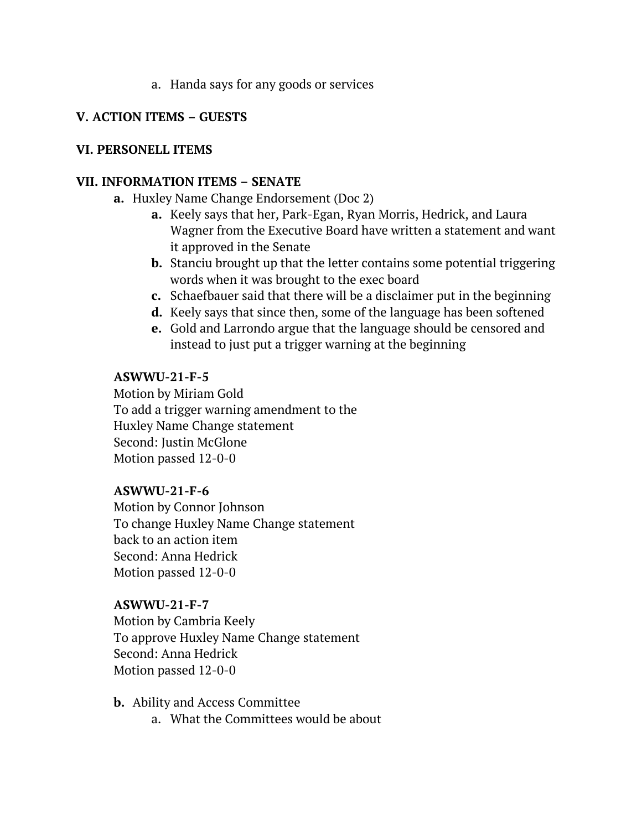#### a. Handa says for any goods or services

#### **V. ACTION ITEMS – GUESTS**

#### **VI. PERSONELL ITEMS**

#### **VII. INFORMATION ITEMS – SENATE**

- **a.** Huxley Name Change Endorsement (Doc 2)
	- **a.** Keely says that her, Park-Egan, Ryan Morris, Hedrick, and Laura Wagner from the Executive Board have written a statement and want it approved in the Senate
	- **b.** Stanciu brought up that the letter contains some potential triggering words when it was brought to the exec board
	- **c.** Schaefbauer said that there will be a disclaimer put in the beginning
	- **d.** Keely says that since then, some of the language has been softened
	- **e.** Gold and Larrondo argue that the language should be censored and instead to just put a trigger warning at the beginning

#### **ASWWU-21-F-5**

Motion by Miriam Gold To add a trigger warning amendment to the Huxley Name Change statement Second: Justin McGlone Motion passed 12-0-0

#### **ASWWU-21-F-6**

Motion by Connor Johnson To change Huxley Name Change statement back to an action item Second: Anna Hedrick Motion passed 12-0-0

#### **ASWWU-21-F-7**

Motion by Cambria Keely To approve Huxley Name Change statement Second: Anna Hedrick Motion passed 12-0-0

- **b.** Ability and Access Committee
	- a. What the Committees would be about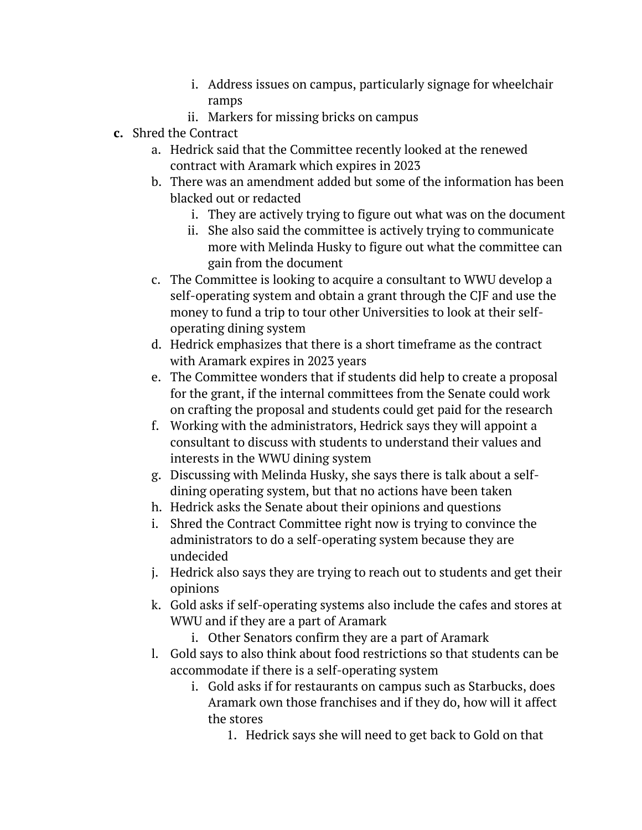- i. Address issues on campus, particularly signage for wheelchair ramps
- ii. Markers for missing bricks on campus
- **c.** Shred the Contract
	- a. Hedrick said that the Committee recently looked at the renewed contract with Aramark which expires in 2023
	- b. There was an amendment added but some of the information has been blacked out or redacted
		- i. They are actively trying to figure out what was on the document
		- ii. She also said the committee is actively trying to communicate more with Melinda Husky to figure out what the committee can gain from the document
	- c. The Committee is looking to acquire a consultant to WWU develop a self-operating system and obtain a grant through the CJF and use the money to fund a trip to tour other Universities to look at their selfoperating dining system
	- d. Hedrick emphasizes that there is a short timeframe as the contract with Aramark expires in 2023 years
	- e. The Committee wonders that if students did help to create a proposal for the grant, if the internal committees from the Senate could work on crafting the proposal and students could get paid for the research
	- f. Working with the administrators, Hedrick says they will appoint a consultant to discuss with students to understand their values and interests in the WWU dining system
	- g. Discussing with Melinda Husky, she says there is talk about a selfdining operating system, but that no actions have been taken
	- h. Hedrick asks the Senate about their opinions and questions
	- i. Shred the Contract Committee right now is trying to convince the administrators to do a self-operating system because they are undecided
	- j. Hedrick also says they are trying to reach out to students and get their opinions
	- k. Gold asks if self-operating systems also include the cafes and stores at WWU and if they are a part of Aramark
		- i. Other Senators confirm they are a part of Aramark
	- l. Gold says to also think about food restrictions so that students can be accommodate if there is a self-operating system
		- i. Gold asks if for restaurants on campus such as Starbucks, does Aramark own those franchises and if they do, how will it affect the stores
			- 1. Hedrick says she will need to get back to Gold on that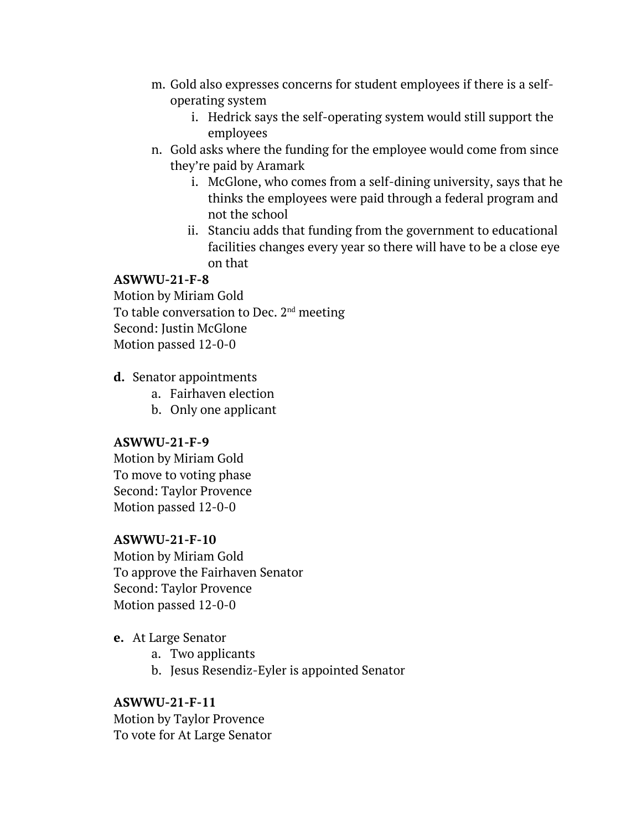- m. Gold also expresses concerns for student employees if there is a selfoperating system
	- i. Hedrick says the self-operating system would still support the employees
- n. Gold asks where the funding for the employee would come from since they're paid by Aramark
	- i. McGlone, who comes from a self-dining university, says that he thinks the employees were paid through a federal program and not the school
	- ii. Stanciu adds that funding from the government to educational facilities changes every year so there will have to be a close eye on that

### **ASWWU-21-F-8**

Motion by Miriam Gold To table conversation to Dec. 2nd meeting Second: Justin McGlone Motion passed 12-0-0

- **d.** Senator appointments
	- a. Fairhaven election
	- b. Only one applicant

#### **ASWWU-21-F-9**

Motion by Miriam Gold To move to voting phase Second: Taylor Provence Motion passed 12-0-0

#### **ASWWU-21-F-10**

Motion by Miriam Gold To approve the Fairhaven Senator Second: Taylor Provence Motion passed 12-0-0

- **e.** At Large Senator
	- a. Two applicants
	- b. Jesus Resendiz-Eyler is appointed Senator

### **ASWWU-21-F-11**

Motion by Taylor Provence To vote for At Large Senator